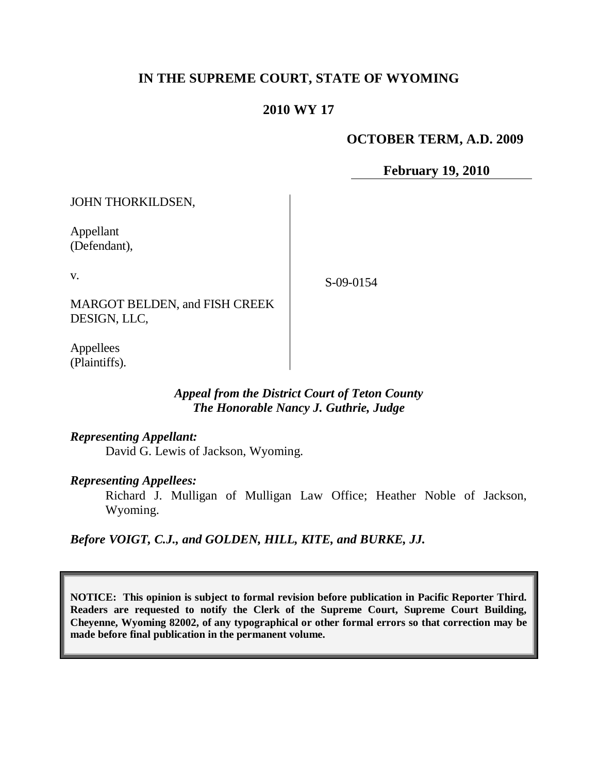# **IN THE SUPREME COURT, STATE OF WYOMING**

## **2010 WY 17**

## **OCTOBER TERM, A.D. 2009**

**February 19, 2010**

JOHN THORKILDSEN,

Appellant (Defendant),

v.

S-09-0154

MARGOT BELDEN, and FISH CREEK DESIGN, LLC,

Appellees (Plaintiffs).

## *Appeal from the District Court of Teton County The Honorable Nancy J. Guthrie, Judge*

## *Representing Appellant:*

David G. Lewis of Jackson, Wyoming.

#### *Representing Appellees:*

Richard J. Mulligan of Mulligan Law Office; Heather Noble of Jackson, Wyoming.

*Before VOIGT, C.J., and GOLDEN, HILL, KITE, and BURKE, JJ.*

**NOTICE: This opinion is subject to formal revision before publication in Pacific Reporter Third. Readers are requested to notify the Clerk of the Supreme Court, Supreme Court Building, Cheyenne, Wyoming 82002, of any typographical or other formal errors so that correction may be made before final publication in the permanent volume.**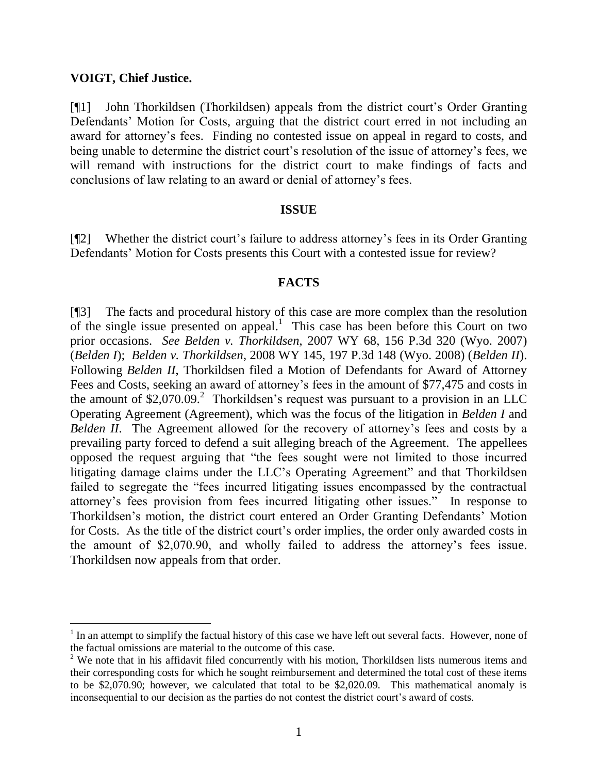#### **VOIGT, Chief Justice.**

[¶1] John Thorkildsen (Thorkildsen) appeals from the district court's Order Granting Defendants' Motion for Costs, arguing that the district court erred in not including an award for attorney's fees. Finding no contested issue on appeal in regard to costs, and being unable to determine the district court's resolution of the issue of attorney's fees, we will remand with instructions for the district court to make findings of facts and conclusions of law relating to an award or denial of attorney's fees.

#### **ISSUE**

[¶2] Whether the district court's failure to address attorney's fees in its Order Granting Defendants' Motion for Costs presents this Court with a contested issue for review?

#### **FACTS**

[¶3] The facts and procedural history of this case are more complex than the resolution of the single issue presented on appeal. 1 This case has been before this Court on two prior occasions. *See Belden v. Thorkildsen*, 2007 WY 68, 156 P.3d 320 (Wyo. 2007) (*Belden I*); *Belden v. Thorkildsen*, 2008 WY 145, 197 P.3d 148 (Wyo. 2008) (*Belden II*). Following *Belden II*, Thorkildsen filed a Motion of Defendants for Award of Attorney Fees and Costs, seeking an award of attorney's fees in the amount of \$77,475 and costs in the amount of  $$2,070.09$ .<sup>2</sup> Thorkildsen's request was pursuant to a provision in an LLC Operating Agreement (Agreement), which was the focus of the litigation in *Belden I* and *Belden II.* The Agreement allowed for the recovery of attorney's fees and costs by a prevailing party forced to defend a suit alleging breach of the Agreement. The appellees opposed the request arguing that "the fees sought were not limited to those incurred litigating damage claims under the LLC's Operating Agreement" and that Thorkildsen failed to segregate the "fees incurred litigating issues encompassed by the contractual attorney's fees provision from fees incurred litigating other issues." In response to Thorkildsen's motion, the district court entered an Order Granting Defendants' Motion for Costs. As the title of the district court's order implies, the order only awarded costs in the amount of \$2,070.90, and wholly failed to address the attorney's fees issue. Thorkildsen now appeals from that order.

 $<sup>1</sup>$  In an attempt to simplify the factual history of this case we have left out several facts. However, none of</sup> the factual omissions are material to the outcome of this case.

 $2$  We note that in his affidavit filed concurrently with his motion, Thorkildsen lists numerous items and their corresponding costs for which he sought reimbursement and determined the total cost of these items to be \$2,070.90; however, we calculated that total to be \$2,020.09. This mathematical anomaly is inconsequential to our decision as the parties do not contest the district court's award of costs.